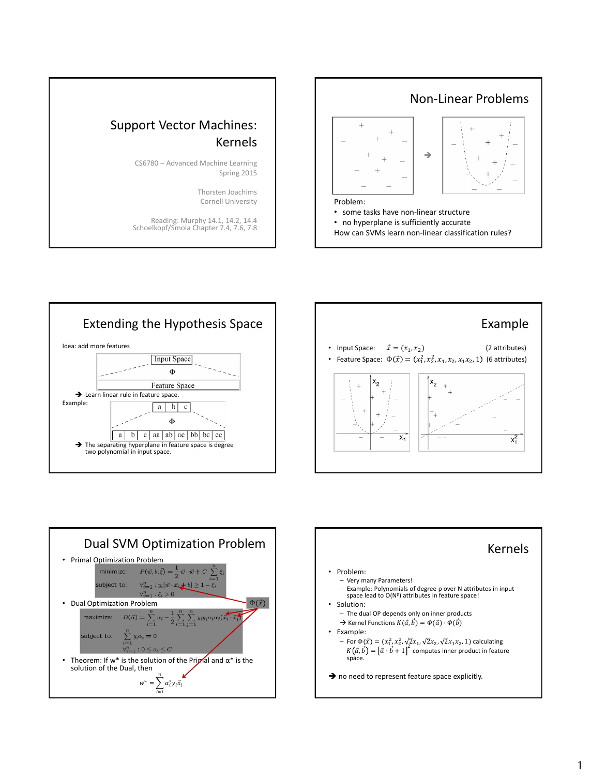





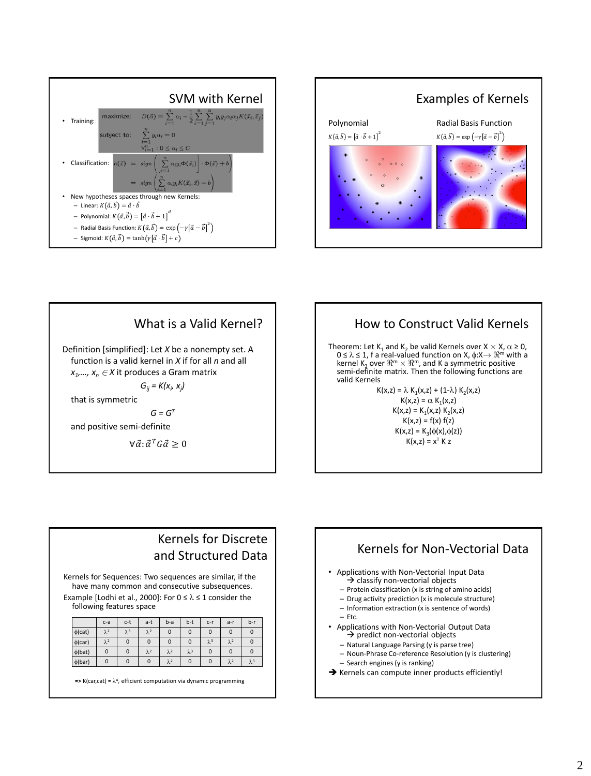







Theorem: Let  $K_1$  and  $K_2$  be valid Kernels over  $X \times X$ ,  $\alpha \ge 0$ ,  $0 \le \lambda \le 1$ , f a real-valued function on X,  $\phi: X \to \mathbb{R}^m$  with a kernel K<sub>3</sub> over  $\Re^m \times \Re^m$ , and K a symmetric positive semi-definite matrix. Then the following functions are valid Kernels

> $K(x, z) = \lambda K_1(x, z) + (1-\lambda) K_2(x, z)$  $K(x,z) = \alpha K_1(x,z)$  $K(x,z) = K_1(x,z) K_2(x,z)$  $K(x,z) = f(x) f(z)$  $K(x,z) = K_3(\phi(x), \phi(z))$  $K(x,z) = x^T K z$

## Kernels for Discrete and Structured Data

Kernels for Sequences: Two sequences are similar, if the have many common and consecutive subsequences. Example [Lodhi et al., 2000]: For  $0 \le \lambda \le 1$  consider the following features space

|              | $c-a$       | $c-t$       | a-t         | $b-a$       | b-t         | $c-r$       | $a-r$       | $b-r$       |
|--------------|-------------|-------------|-------------|-------------|-------------|-------------|-------------|-------------|
| $\phi$ (cat) | $\lambda^2$ | $\lambda^3$ | $\lambda^2$ | $\mathbf 0$ | $\mathbf 0$ | $\mathbf 0$ | $\mathbf 0$ | $\mathbf 0$ |
| $\phi$ (car) | $\lambda^2$ | $\mathbf 0$ | $\mathbf 0$ | $\mathbf 0$ | $\mathbf 0$ | $\lambda^3$ | $\lambda^2$ | $\mathbf 0$ |
| $\phi$ (bat) | $\mathbf 0$ | $\mathbf 0$ | $\lambda^2$ | $\lambda^2$ | $\lambda^3$ | $\mathbf 0$ | 0           | $\mathbf 0$ |
| $\phi(bar)$  | 0           | $\mathbf 0$ | 0           | $\lambda^2$ | $\mathbf 0$ | $\mathbf 0$ | $\lambda^2$ | $\lambda^3$ |

 $\Rightarrow$  K(car,cat) =  $\lambda^4$ , efficient computation via dynamic programming



 $\rightarrow$  Kernels can compute inner products efficiently!